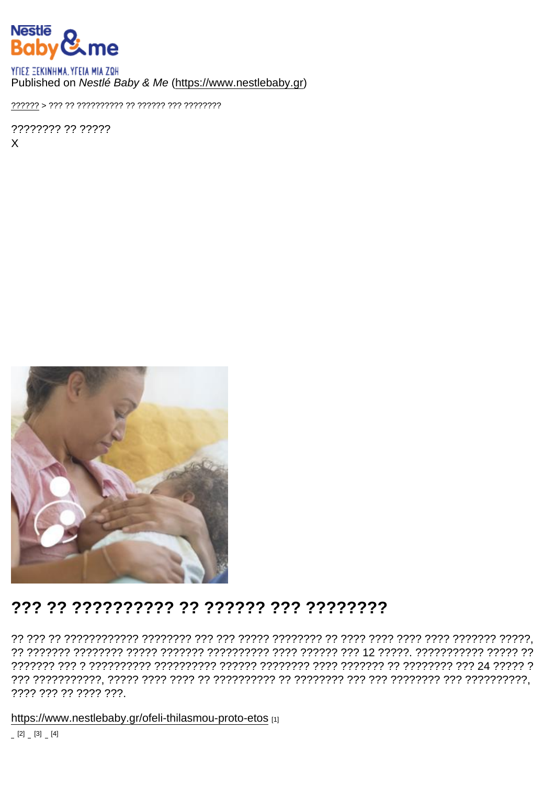#### Published on Nestlé Baby & Me (https://www.nestlebaby.gr)

???????? ?? ?????  $\mathsf{x}$ 

## 

???? ??? ?? ???? ???.

https://www.nestlebaby.gr/ofeli-thilasmou-proto-etos [1]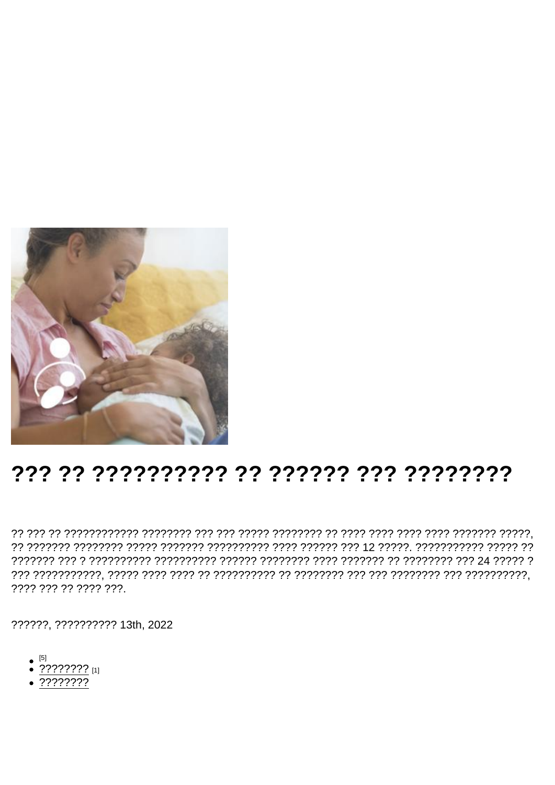# 

???? ??? ?? ???? ???.

??????, ?????????? 13th, 2022

- $\bullet$  [5]
- $\bullet$  ???????? [1]
- $.77777777$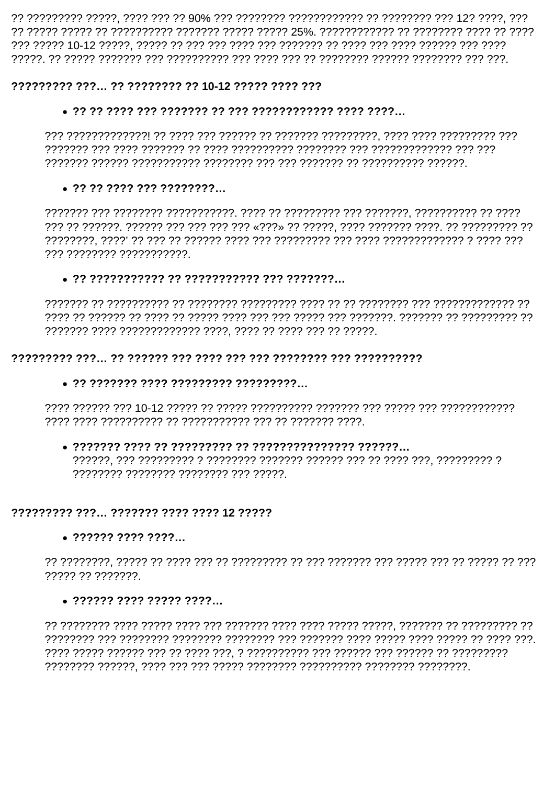#### 222222222 222... 22 22222222 22 10-12 22222 2222 222

#### 

#### 

777 77777777 777777777777

#### 

#### 

#### 

### , ??????? ???????? ???????? ??? ?????

#### ????????? ???... ??????? ???? ???? 12 ?????

#### 

????? ?? ???????

#### $.7777777777777777777...$